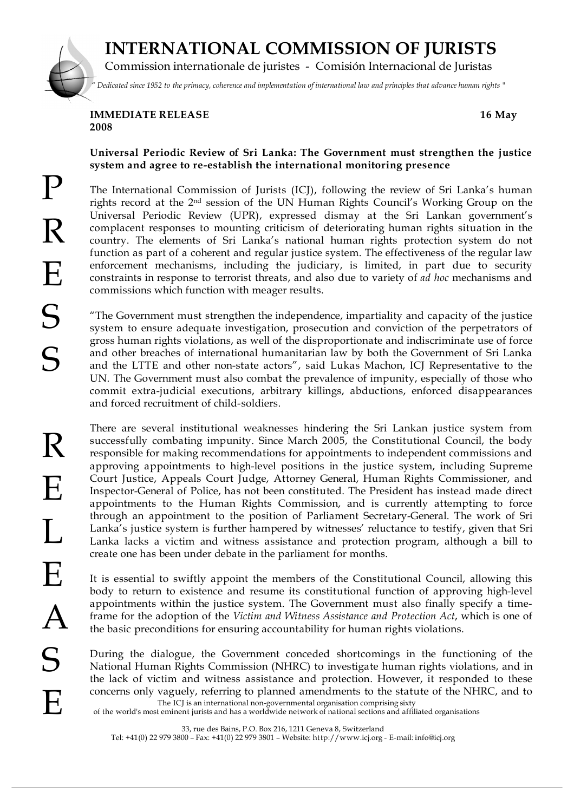## **INTERNATIONAL COMMISSION OF JURISTS**

Commission internationale de juristes - Comisión Internacional de Juristas

*" Dedicated since 1952 to the primacy, coherence and implementation of international law and principles that advance human rights "*

**IMMEDIATE RELEASE 16 May 16 May 16 May 16 May 16 May 16 May 16 May 16 May 16 May 16 May 16 May 16 May 16 May 16 May 16 May 16 May 16 May 16 May 16 May 16 May 16 May 16 May 16 May 16 May 16 May 16 May 16 May 16 May 16 May 2008** 

## **Universal Periodic Review of Sri Lanka: The Government must strengthen the justice system and agree to re-establish the international monitoring presence**

The International Commission of Jurists (ICJ), following the review of Sri Lanka's human rights record at the 2nd session of the UN Human Rights Council's Working Group on the Universal Periodic Review (UPR), expressed dismay at the Sri Lankan government's complacent responses to mounting criticism of deteriorating human rights situation in the country. The elements of Sri Lanka's national human rights protection system do not function as part of a coherent and regular justice system. The effectiveness of the regular law enforcement mechanisms, including the judiciary, is limited, in part due to security constraints in response to terrorist threats, and also due to variety of *ad hoc* mechanisms and commissions which function with meager results.

"The Government must strengthen the independence, impartiality and capacity of the justice system to ensure adequate investigation, prosecution and conviction of the perpetrators of gross human rights violations, as well of the disproportionate and indiscriminate use of force and other breaches of international humanitarian law by both the Government of Sri Lanka and the LTTE and other non-state actors", said Lukas Machon, ICJ Representative to the UN. The Government must also combat the prevalence of impunity, especially of those who commit extra-judicial executions, arbitrary killings, abductions, enforced disappearances and forced recruitment of child-soldiers.

There are several institutional weaknesses hindering the Sri Lankan justice system from successfully combating impunity. Since March 2005, the Constitutional Council, the body responsible for making recommendations for appointments to independent commissions and approving appointments to high-level positions in the justice system, including Supreme Court Justice, Appeals Court Judge, Attorney General, Human Rights Commissioner, and Inspector-General of Police, has not been constituted. The President has instead made direct appointments to the Human Rights Commission, and is currently attempting to force through an appointment to the position of Parliament Secretary-General. The work of Sri Lanka's justice system is further hampered by witnesses' reluctance to testify, given that Sri Lanka lacks a victim and witness assistance and protection program, although a bill to create one has been under debate in the parliament for months.

It is essential to swiftly appoint the members of the Constitutional Council, allowing this body to return to existence and resume its constitutional function of approving high-level appointments within the justice system. The Government must also finally specify a timeframe for the adoption of the *Victim and Witness Assistance and Protection Act*, which is one of the basic preconditions for ensuring accountability for human rights violations.

During the dialogue, the Government conceded shortcomings in the functioning of the National Human Rights Commission (NHRC) to investigate human rights violations, and in the lack of victim and witness assistance and protection. However, it responded to these concerns only vaguely, referring to planned amendments to the statute of the NHRC, and to

The ICJ is an international non-governmental organisation comprising sixty of the world's most eminent jurists and has a worldwide network of national sections and affiliated organisations

33, rue des Bains, P.O. Box 216, 1211 Geneva 8, Switzerland

Tel: +41(0) 22 979 3800 – Fax: +41(0) 22 979 3801 – Website: http://www.icj.org - E-mail: info@icj.org

A

S

E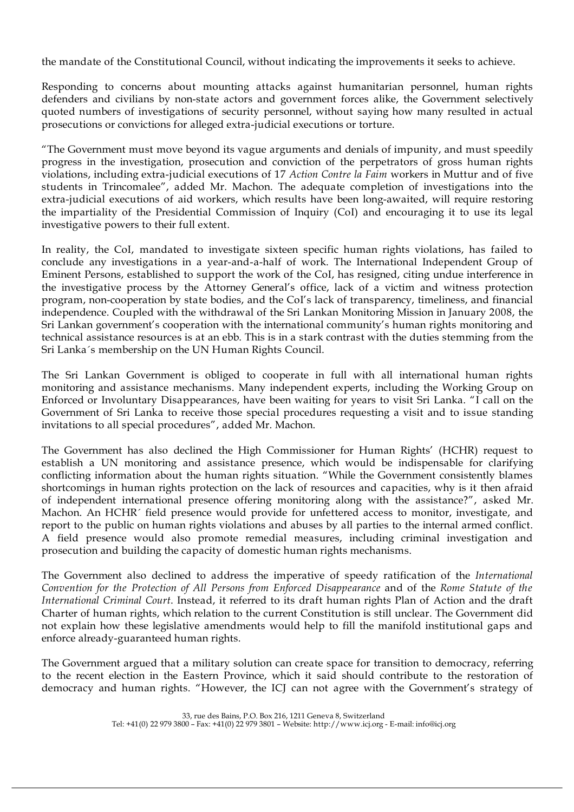the mandate of the Constitutional Council, without indicating the improvements it seeks to achieve.

Responding to concerns about mounting attacks against humanitarian personnel, human rights defenders and civilians by non-state actors and government forces alike, the Government selectively quoted numbers of investigations of security personnel, without saying how many resulted in actual prosecutions or convictions for alleged extra-judicial executions or torture.

"The Government must move beyond its vague arguments and denials of impunity, and must speedily progress in the investigation, prosecution and conviction of the perpetrators of gross human rights violations, including extra-judicial executions of 17 *Action Contre la Faim* workers in Muttur and of five students in Trincomalee", added Mr. Machon. The adequate completion of investigations into the extra-judicial executions of aid workers, which results have been long-awaited, will require restoring the impartiality of the Presidential Commission of Inquiry (CoI) and encouraging it to use its legal investigative powers to their full extent.

In reality, the CoI, mandated to investigate sixteen specific human rights violations, has failed to conclude any investigations in a year-and-a-half of work. The International Independent Group of Eminent Persons, established to support the work of the CoI, has resigned, citing undue interference in the investigative process by the Attorney General's office, lack of a victim and witness protection program, non-cooperation by state bodies, and the CoI's lack of transparency, timeliness, and financial independence. Coupled with the withdrawal of the Sri Lankan Monitoring Mission in January 2008, the Sri Lankan government's cooperation with the international community's human rights monitoring and technical assistance resources is at an ebb. This is in a stark contrast with the duties stemming from the Sri Lanka´s membership on the UN Human Rights Council.

The Sri Lankan Government is obliged to cooperate in full with all international human rights monitoring and assistance mechanisms. Many independent experts, including the Working Group on Enforced or Involuntary Disappearances, have been waiting for years to visit Sri Lanka. "I call on the Government of Sri Lanka to receive those special procedures requesting a visit and to issue standing invitations to all special procedures", added Mr. Machon.

The Government has also declined the High Commissioner for Human Rights' (HCHR) request to establish a UN monitoring and assistance presence, which would be indispensable for clarifying conflicting information about the human rights situation. "While the Government consistently blames shortcomings in human rights protection on the lack of resources and capacities, why is it then afraid of independent international presence offering monitoring along with the assistance?", asked Mr. Machon. An HCHR´ field presence would provide for unfettered access to monitor, investigate, and report to the public on human rights violations and abuses by all parties to the internal armed conflict. A field presence would also promote remedial measures, including criminal investigation and prosecution and building the capacity of domestic human rights mechanisms.

The Government also declined to address the imperative of speedy ratification of the *International Convention for the Protection of All Persons from Enforced Disappearance* and of the *Rome Statute of the International Criminal Court*. Instead, it referred to its draft human rights Plan of Action and the draft Charter of human rights, which relation to the current Constitution is still unclear. The Government did not explain how these legislative amendments would help to fill the manifold institutional gaps and enforce already-guaranteed human rights.

The Government argued that a military solution can create space for transition to democracy, referring to the recent election in the Eastern Province, which it said should contribute to the restoration of democracy and human rights. "However, the ICJ can not agree with the Government's strategy of

33, rue des Bains, P.O. Box 216, 1211 Geneva 8, Switzerland

Tel: +41(0) 22 979 3800 – Fax: +41(0) 22 979 3801 – Website: http://www.icj.org - E-mail: info@icj.org